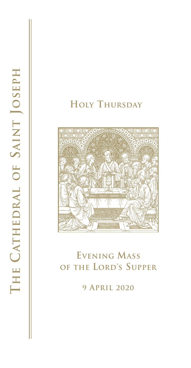



# **Evening Mass of the Lord's Supper**

**9 April 2020**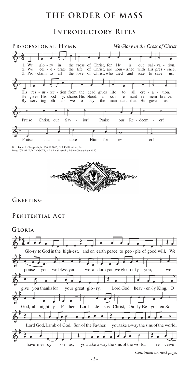## **THE ORDER OF MASS**

#### **Introductory Rites**



Text: James J. Chepponis, b.1956, @ 2015, GIA Publications, Inc. Tune: ICH GLAUB AN GOTT, 8 7 8 7 with refrain; Mainz Gesangbuch, 1870



**Greeting** 

#### PENITENTIAL ACT

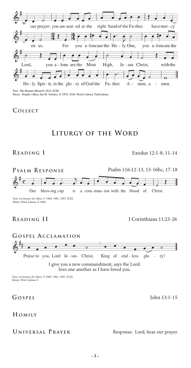

Music: People's Mass, Jan M. Vermlst, @ 1970, 2010, World Library Publications

#### **Collect**

### **Liturgy of the Word**

#### **Reading I** Exodus 12:1-8, 11-14



Text: *Lectionary for Mass*, © 1969, 1981, 1997, ICEL Music: Peter Latona, © 2002

**Reading II** I Corinthians 11:23-26



love one another as I have loved you.

Text: *Lectionary for Mass*, © 1969, 1981, 1997, ICEL Music: Peter Latona ©

#### **Homily**

#### UNIVERSAL PRAYER Response: Lord, hear our prayer.

**Gospel** John 13:1-15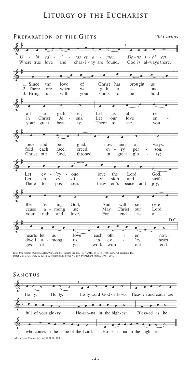#### LITURGY OF THE EUCHARIST

#### PREPARATION OF THE GIFTS Ubi Caritas  $\sigma$  $\overline{U}$ hi  $De$  -  $us$  $i - bi$ cá ri mor, est. tas et  $\overline{a}$ char- $i$  - ty are God is al-ways there. Where true love found, and  $\bullet$ O  $\overline{\bullet}$ ā Since the of Christ 1. love has brought **us** 2. There - fore when we gath - er as one 3. Bring with be hold **us** your saints to  $\overline{a}$  $\overline{c}$ a all geth all Let to er, **us** re love in Christ Je Let our sus. en  $\overline{a}$ great There beau see your ty, to you,  $\overline{\bullet}$ ō ø  $\sigma$  $\sigma$ joice and be glad, now and al ways. fold each race, creed,  ${\rm ev}$ 'ry per son. Christ throned our God, in great glo ry;  $\bullet$  $\bullet$  $\bullet$ ø o Let 'ry the Lord God, ev one love Let en l. vy, di vi - sion and strife There heav - en's to pos sess peace and joy,  $\bullet$  $\bullet$  $\overline{\mathcal{P}}$ æ the liv ing God; And with sin cere May Christ Lord cease  $\rm{a}$ mong us; our  $\sim$ your truth and love, For end less a D.C. 6 hearts let love each oth us er now. dwell  $\rm{a}$ mong us in ev 'ry heart. of with ges a ges, world out end.

Text: Ubi caritas et amor, Latin, 9th C.; tr. by Richard Proulx, 1937-2010, © 1975, 1986, GIA Publications, Inc. Tune: UBI CARITAS, 12 12 12 12 with refrain; Mode VI; acc. by Richard Proulx, 1937-2010

SANCTUS  $\sigma$  $\sigma$  $\overline{c}$  $\overline{\phantom{a}}$ .  $Ho-ly,$  $Ho-ly$ Ho-ly Lord God of hosts. Heav-en and earth are  $\sigma$  $\sigma$  $\overline{ }$ full of your glo-ry. in the high-est. Bless-ed Ho-san-na is he  $\overline{O}$ Ho - san - na in the high- est. who comes in the name of the Lord.

Music: The Roman Missal, @ 2010, ICEL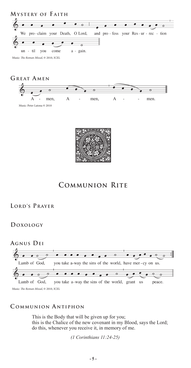





#### **Communion Rite**

#### **Lord's Prayer**

#### **Doxology**



#### **C ommunion A ntiphon**

This is the Body that will be given up for you; this is the Chalice of the new covenant in my Blood, says the Lord; do this, whenever you receive it, in memory of me.

 *(1 Corinthians 11:24-25)*